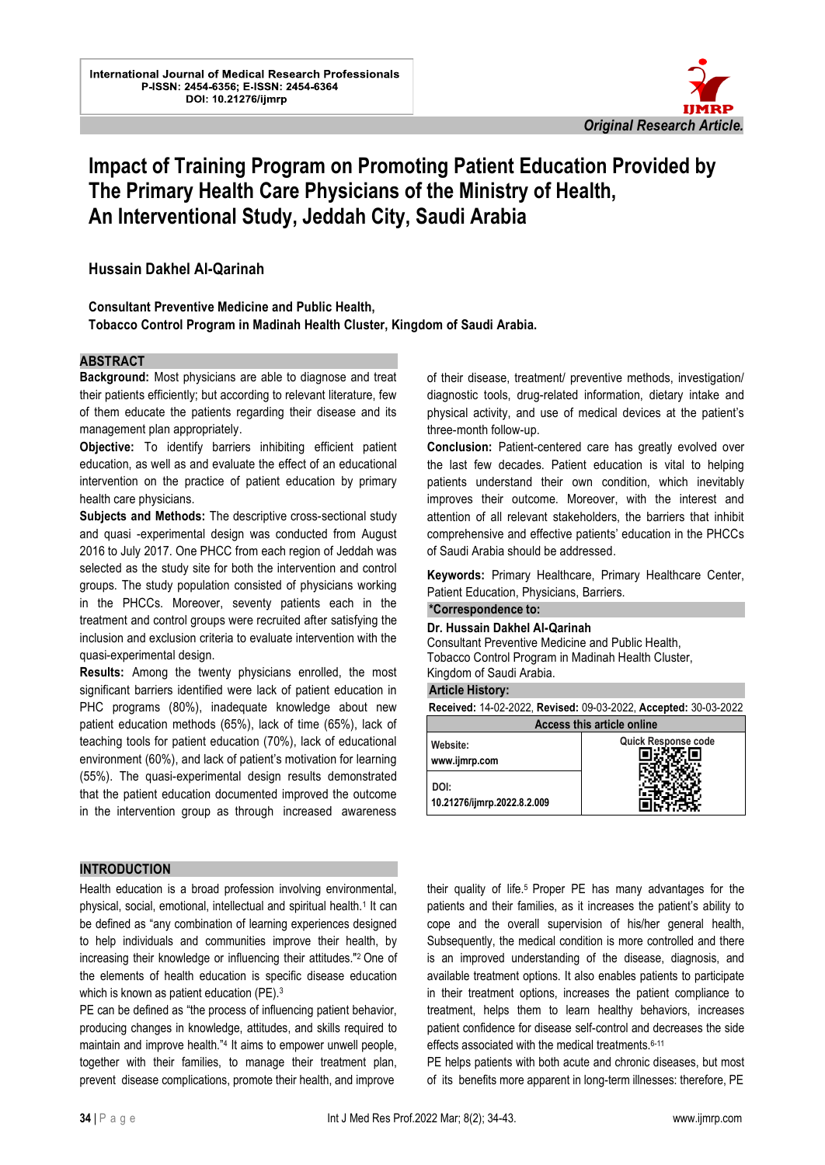

# **Impact of Training Program on Promoting Patient Education Provided by The Primary Health Care Physicians of the Ministry of Health, An Interventional Study, Jeddah City, Saudi Arabia**

l.

# **Hussain Dakhel Al-Qarinah**

### **Consultant Preventive Medicine and Public Health,**

**Tobacco Control Program in Madinah Health Cluster, Kingdom of Saudi Arabia.**

### **ABSTRACT**

**Background:** Most physicians are able to diagnose and treat their patients efficiently; but according to relevant literature, few of them educate the patients regarding their disease and its management plan appropriately.

**Objective:** To identify barriers inhibiting efficient patient education, as well as and evaluate the effect of an educational intervention on the practice of patient education by primary health care physicians.

**Subjects and Methods:** The descriptive cross-sectional study and quasi -experimental design was conducted from August 2016 to July 2017. One PHCC from each region of Jeddah was selected as the study site for both the intervention and control groups. The study population consisted of physicians working in the PHCCs. Moreover, seventy patients each in the treatment and control groups were recruited after satisfying the inclusion and exclusion criteria to evaluate intervention with the quasi-experimental design.

**Results:** Among the twenty physicians enrolled, the most significant barriers identified were lack of patient education in PHC programs (80%), inadequate knowledge about new patient education methods (65%), lack of time (65%), lack of teaching tools for patient education (70%), lack of educational environment (60%), and lack of patient's motivation for learning (55%). The quasi-experimental design results demonstrated that the patient education documented improved the outcome in the intervention group as through increased awareness

#### **INTRODUCTION**

Health education is a broad profession involving environmental, physical, social, emotional, intellectual and spiritual health.<sup>1</sup> It can be defined as "any combination of learning experiences designed to help individuals and communities improve their health, by increasing their knowledge or influencing their attitudes."2 One of the elements of health education is specific disease education which is known as patient education (PE).<sup>3</sup>

PE can be defined as "the process of influencing patient behavior, producing changes in knowledge, attitudes, and skills required to maintain and improve health."<sup>4</sup> It aims to empower unwell people, together with their families, to manage their treatment plan, prevent disease complications, promote their health, and improve

of their disease, treatment/ preventive methods, investigation/ diagnostic tools, drug-related information, dietary intake and physical activity, and use of medical devices at the patient's three-month follow-up .

**Conclusion:** Patient-centered care has greatly evolved over the last few decades. Patient education is vital to helping patients understand their own condition, which inevitably improves their outcome. Moreover, with the interest and attention of all relevant stakeholders, the barriers that inhibit comprehensive and effective patients' education in the PHCCs of Saudi Arabia should be addressed .

**Keywords:** Primary Healthcare, Primary Healthcare Center, Patient Education, Physicians, Barriers.

#### **\*Correspondence to: Dr. Hussain Dakhel Al-Qarinah**

Consultant Preventive Medicine and Public Health, Tobacco Control Program in Madinah Health Cluster, Kingdom of Saudi Arabia.

#### **Article History:**

**Received:** 14-02-2022, **Revised:** 09-03-2022, **Accepted:** 30-03-2022

| <b>Access this article online</b>   |                     |  |  |  |
|-------------------------------------|---------------------|--|--|--|
| Website:<br>www.ijmrp.com           | Quick Response code |  |  |  |
| DOI:<br>10.21276/ijmrp.2022.8.2.009 |                     |  |  |  |

their quality of life.5 Proper PE has many advantages for the patients and their families, as it increases the patient's ability to cope and the overall supervision of his/her general health, Subsequently, the medical condition is more controlled and there is an improved understanding of the disease, diagnosis, and available treatment options. It also enables patients to participate in their treatment options, increases the patient compliance to treatment, helps them to learn healthy behaviors, increases patient confidence for disease self-control and decreases the side effects associated with the medical treatments.6-11

PE helps patients with both acute and chronic diseases, but most of its benefits more apparent in long-term illnesses: therefore, PE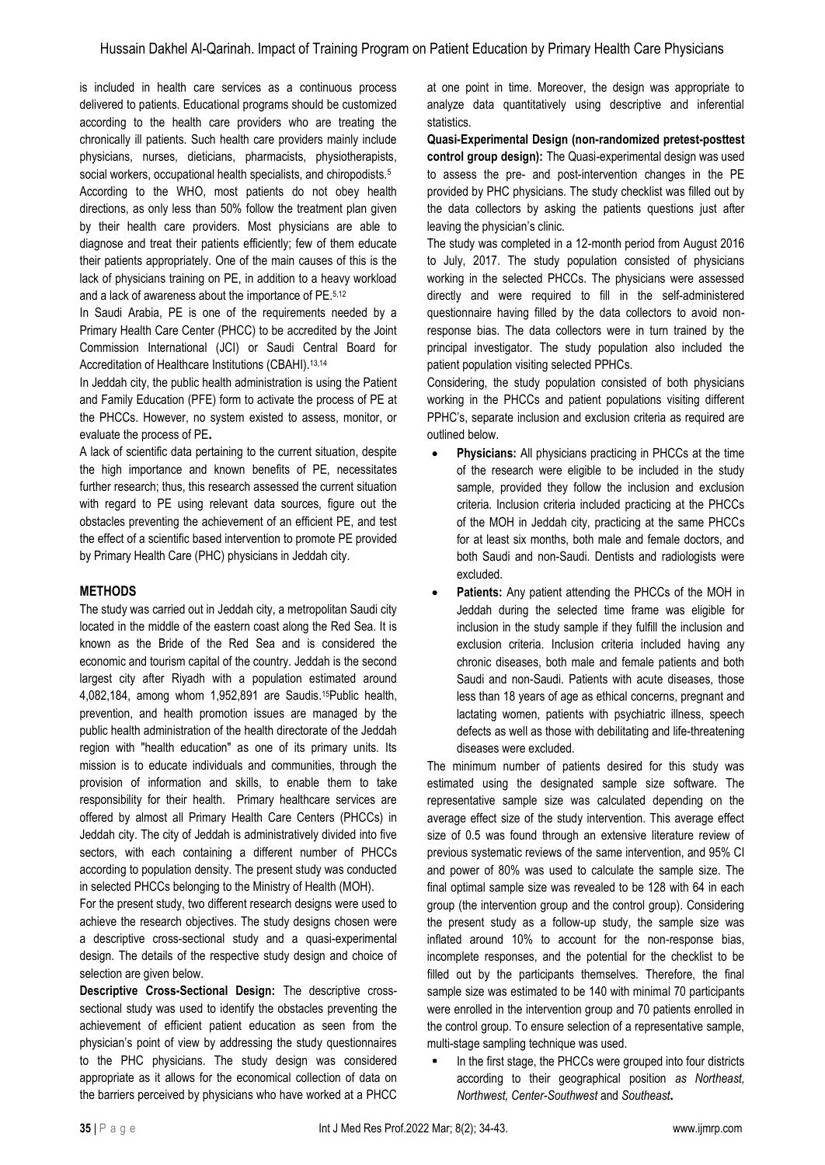is included in health care services as a continuous process delivered to patients. Educational programs should be customized according to the health care providers who are treating the chronically ill patients. Such health care providers mainly include physicians, nurses, dieticians, pharmacists, physiotherapists, social workers, occupational health specialists, and chiropodists.<sup>5</sup> According to the WHO, most patients do not obey health directions, as only less than 50% follow the treatment plan given by their health care providers. Most physicians are able to diagnose and treat their patients efficiently; few of them educate their patients appropriately. One of the main causes of this is the lack of physicians training on PE, in addition to a heavy workload and a lack of awareness about the importance of PE.5,12

In Saudi Arabia, PE is one of the requirements needed by a Primary Health Care Center (PHCC) to be accredited by the Joint Commission International (JCI) or Saudi Central Board for Accreditation of Healthcare Institutions (CBAHI).<sup>13,14</sup>

In Jeddah city, the public health administration is using the Patient and Family Education (PFE) form to activate the process of PE at the PHCCs. However, no system existed to assess, monitor, or evaluate the process of PE **.**

A lack of scientific data pertaining to the current situation, despite the high importance and known benefits of PE, necessitates further research; thus, this research assessed the current situation with regard to PE using relevant data sources, figure out the obstacles preventing the achievement of an efficient PE, and test the effect of a scientific based intervention to promote PE provided by Primary Health Care (PHC) physicians in Jeddah city.

# **METHODS**

The study was carried out in Jeddah city, a metropolitan Saudi city located in the middle of the eastern coast along the Red Sea. It is known as the Bride of the Red Sea and is considered the economic and tourism capital of the country. Jeddah is the second largest city after Riyadh with a population estimated around 4,082,184, among whom 1,952,891 are Saudis.15Public health, prevention, and health promotion issues are managed by the public health administration of the health directorate of the Jeddah region with "health education" as one of its primary units. Its mission is to educate individuals and communities, through the provision of information and skills, to enable them to take responsibility for their health. Primary healthcare services are offered by almost all Primary Health Care Centers (PHCCs) in Jeddah city. The city of Jeddah is administratively divided into five sectors, with each containing a different number of PHCCs according to population density. The present study was conducted in selected PHCCs belonging to the Ministry of Health (MOH).

For the present study, two different research designs were used to achieve the research objectives. The study designs chosen were a descriptive cross-sectional study and a quasi-experimental design. The details of the respective study design and choice of selection are given below.

**Descriptive Cross-Sectional Design:** The descriptive crosssectional study was used to identify the obstacles preventing the achievement of efficient patient education as seen from the physician's point of view by addressing the study questionnaires to the PHC physicians. The study design was considered appropriate as it allows for the economical collection of data on the barriers perceived by physicians who have worked at a PHCC at one point in time. Moreover, the design was appropriate to analyze data quantitatively using descriptive and inferential statistics.

**Quasi-Experimental Design (non-randomized pretest-posttest control group design):** The Quasi-experimental design was used to assess the pre- and post-intervention changes in the PE provided by PHC physicians. The study checklist was filled out by the data collectors by asking the patients questions just after leaving the physician's clinic.

The study was completed in a 12-month period from August 2016 to July, 2017. The study population consisted of physicians working in the selected PHCCs. The physicians were assessed directly and were required to fill in the self-administered questionnaire having filled by the data collectors to avoid nonresponse bias. The data collectors were in turn trained by the principal investigator. The study population also included the patient population visiting selected PPHCs.

Considering, the study population consisted of both physicians working in the PHCCs and patient populations visiting different PPHC's, separate inclusion and exclusion criteria as required are outlined below.

- **Physicians:** All physicians practicing in PHCCs at the time of the research were eligible to be included in the study sample, provided they follow the inclusion and exclusion criteria. Inclusion criteria included practicing at the PHCCs of the MOH in Jeddah city, practicing at the same PHCCs for at least six months, both male and female doctors, and both Saudi and non-Saudi. Dentists and radiologists were excluded.
- **Patients:** Any patient attending the PHCCs of the MOH in Jeddah during the selected time frame was eligible for inclusion in the study sample if they fulfill the inclusion and exclusion criteria. Inclusion criteria included having any chronic diseases, both male and female patients and both Saudi and non-Saudi. Patients with acute diseases, those less than 18 years of age as ethical concerns, pregnant and lactating women, patients with psychiatric illness, speech defects as well as those with debilitating and life-threatening diseases were excluded.

The minimum number of patients desired for this study was estimated using the designated sample size software. The representative sample size was calculated depending on the average effect size of the study intervention. This average effect size of 0.5 was found through an extensive literature review of previous systematic reviews of the same intervention, and 95% CI and power of 80% was used to calculate the sample size. The final optimal sample size was revealed to be 128 with 64 in each group (the intervention group and the control group). Considering the present study as a follow-up study, the sample size was inflated around 10% to account for the non-response bias, incomplete responses, and the potential for the checklist to be filled out by the participants themselves. Therefore, the final sample size was estimated to be 140 with minimal 70 participants were enrolled in the intervention group and 70 patients enrolled in the control group. To ensure selection of a representative sample, multi-stage sampling technique was used.

In the first stage, the PHCCs were grouped into four districts according to their geographical position *as Northeast, Northwest, Center-Southwest* and *Southeast* **.**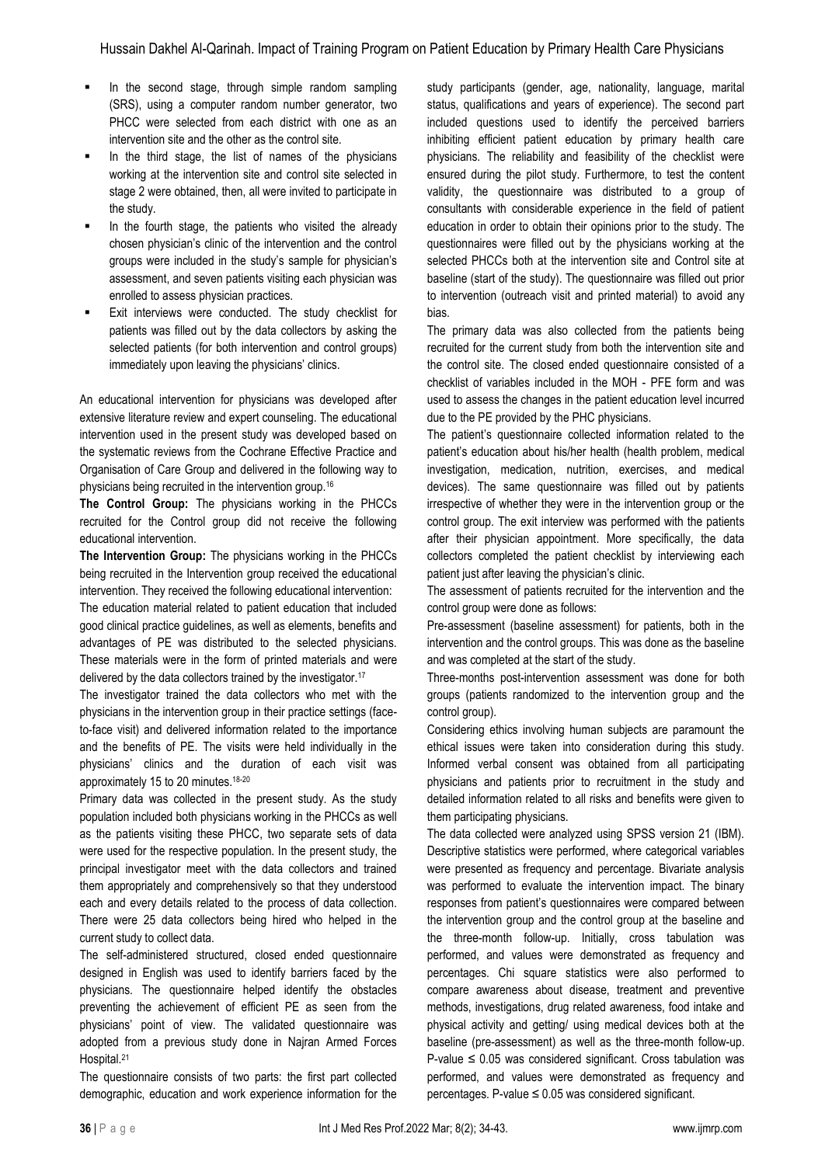- In the second stage, through simple random sampling (SRS), using a computer random number generator, two PHCC were selected from each district with one as an intervention site and the other as the control site.
- In the third stage, the list of names of the physicians working at the intervention site and control site selected in stage 2 were obtained, then, all were invited to participate in the study.
- In the fourth stage, the patients who visited the already chosen physician's clinic of the intervention and the control groups were included in the study's sample for physician's assessment, and seven patients visiting each physician was enrolled to assess physician practices.
- Exit interviews were conducted. The study checklist for patients was filled out by the data collectors by asking the selected patients (for both intervention and control groups) immediately upon leaving the physicians' clinics.

An educational intervention for physicians was developed after extensive literature review and expert counseling. The educational intervention used in the present study was developed based on the systematic reviews from the Cochrane Effective Practice and Organisation of Care Group and delivered in the following way to physicians being recruited in the intervention group.<sup>16</sup>

**The Control Group:** The physicians working in the PHCCs recruited for the Control group did not receive the following educational intervention.

**The Intervention Group:** The physicians working in the PHCCs being recruited in the Intervention group received the educational intervention. They received the following educational intervention:

The education material related to patient education that included good clinical practice guidelines, as well as elements, benefits and advantages of PE was distributed to the selected physicians. These materials were in the form of printed materials and were delivered by the data collectors trained by the investigator.<sup>17</sup>

The investigator trained the data collectors who met with the physicians in the intervention group in their practice settings (faceto-face visit) and delivered information related to the importance and the benefits of PE. The visits were held individually in the physicians' clinics and the duration of each visit was approximately 15 to 20 minutes.18-20

Primary data was collected in the present study. As the study population included both physicians working in the PHCCs as well as the patients visiting these PHCC, two separate sets of data were used for the respective population. In the present study, the principal investigator meet with the data collectors and trained them appropriately and comprehensively so that they understood each and every details related to the process of data collection. There were 25 data collectors being hired who helped in the current study to collect data.

The self-administered structured, closed ended questionnaire designed in English was used to identify barriers faced by the physicians. The questionnaire helped identify the obstacles preventing the achievement of efficient PE as seen from the physicians' point of view. The validated questionnaire was adopted from a previous study done in Najran Armed Forces Hospital.<sup>21</sup>

The questionnaire consists of two parts: the first part collected demographic, education and work experience information for the

study participants (gender, age, nationality, language, marital status, qualifications and years of experience). The second part included questions used to identify the perceived barriers inhibiting efficient patient education by primary health care physicians. The reliability and feasibility of the checklist were ensured during the pilot study. Furthermore, to test the content validity, the questionnaire was distributed to a group of consultants with considerable experience in the field of patient education in order to obtain their opinions prior to the study. The questionnaires were filled out by the physicians working at the selected PHCCs both at the intervention site and Control site at baseline (start of the study). The questionnaire was filled out prior to intervention (outreach visit and printed material) to avoid any bias.

The primary data was also collected from the patients being recruited for the current study from both the intervention site and the control site. The closed ended questionnaire consisted of a checklist of variables included in the MOH - PFE form and was used to assess the changes in the patient education level incurred due to the PE provided by the PHC physicians.

The patient's questionnaire collected information related to the patient's education about his/her health (health problem, medical investigation, medication, nutrition, exercises, and medical devices). The same questionnaire was filled out by patients irrespective of whether they were in the intervention group or the control group. The exit interview was performed with the patients after their physician appointment. More specifically, the data collectors completed the patient checklist by interviewing each patient just after leaving the physician's clinic.

The assessment of patients recruited for the intervention and the control group were done as follows:

Pre-assessment (baseline assessment) for patients, both in the intervention and the control groups. This was done as the baseline and was completed at the start of the study.

Three-months post-intervention assessment was done for both groups (patients randomized to the intervention group and the control group).

Considering ethics involving human subjects are paramount the ethical issues were taken into consideration during this study. Informed verbal consent was obtained from all participating physicians and patients prior to recruitment in the study and detailed information related to all risks and benefits were given to them participating physicians.

The data collected were analyzed using SPSS version 21 (IBM). Descriptive statistics were performed, where categorical variables were presented as frequency and percentage. Bivariate analysis was performed to evaluate the intervention impact. The binary responses from patient's questionnaires were compared between the intervention group and the control group at the baseline and the three-month follow-up. Initially, cross tabulation was performed, and values were demonstrated as frequency and percentages. Chi square statistics were also performed to compare awareness about disease, treatment and preventive methods, investigations, drug related awareness, food intake and physical activity and getting/ using medical devices both at the baseline (pre-assessment) as well as the three-month follow-up. P-value  $\leq$  0.05 was considered significant. Cross tabulation was performed, and values were demonstrated as frequency and percentages. P-value ≤ 0.05 was considered significant.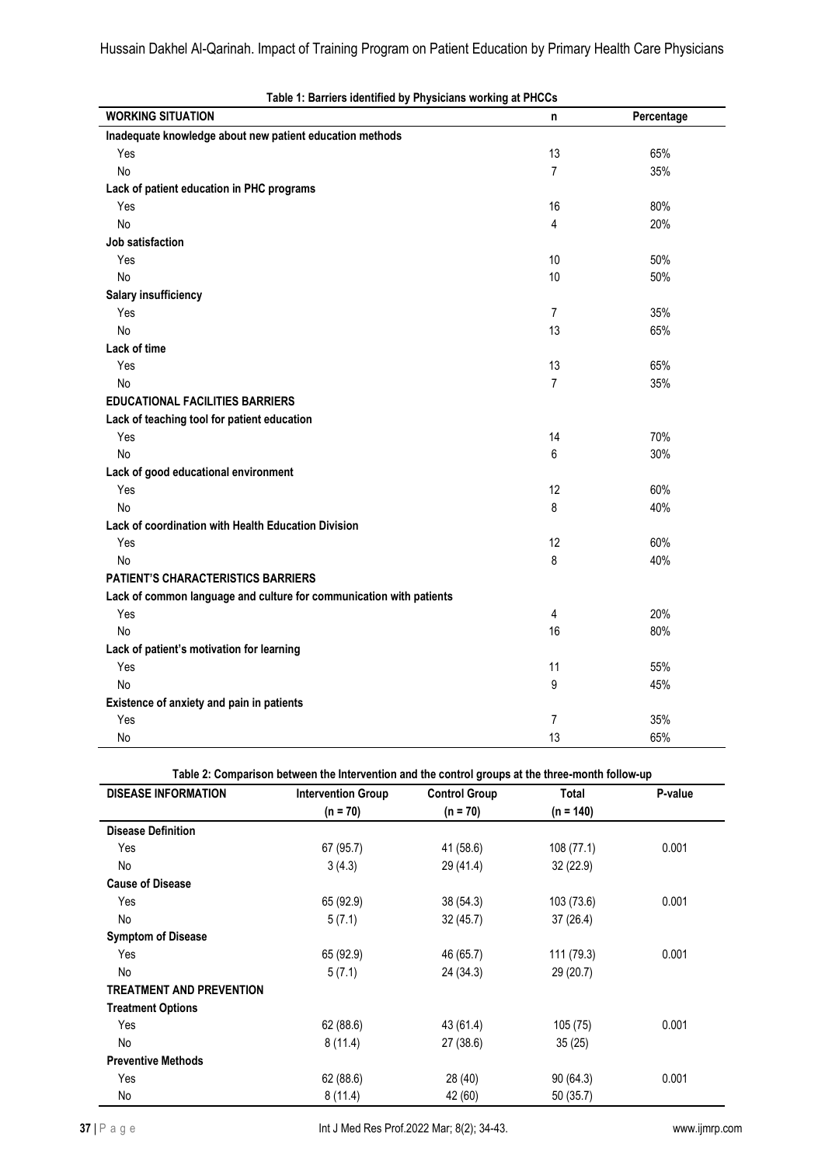| <b>WORKING SITUATION</b>                                            | n              | Percentage |
|---------------------------------------------------------------------|----------------|------------|
| Inadequate knowledge about new patient education methods            |                |            |
| Yes                                                                 | 13             | 65%        |
| No                                                                  | $\overline{7}$ | 35%        |
| Lack of patient education in PHC programs                           |                |            |
| Yes                                                                 | 16             | 80%        |
| No                                                                  | 4              | 20%        |
| Job satisfaction                                                    |                |            |
| Yes                                                                 | 10             | 50%        |
| No                                                                  | 10             | 50%        |
| <b>Salary insufficiency</b>                                         |                |            |
| Yes                                                                 | 7              | 35%        |
| No                                                                  | 13             | 65%        |
| Lack of time                                                        |                |            |
| Yes                                                                 | 13             | 65%        |
| No                                                                  | $\overline{7}$ | 35%        |
| <b>EDUCATIONAL FACILITIES BARRIERS</b>                              |                |            |
| Lack of teaching tool for patient education                         |                |            |
| Yes                                                                 | 14             | 70%        |
| No                                                                  | 6              | 30%        |
| Lack of good educational environment                                |                |            |
| Yes                                                                 | 12             | 60%        |
| No                                                                  | 8              | 40%        |
| Lack of coordination with Health Education Division                 |                |            |
| Yes                                                                 | 12             | 60%        |
| No                                                                  | 8              | 40%        |
| <b>PATIENT'S CHARACTERISTICS BARRIERS</b>                           |                |            |
| Lack of common language and culture for communication with patients |                |            |
| Yes                                                                 | 4              | 20%        |
| No                                                                  | 16             | 80%        |
| Lack of patient's motivation for learning                           |                |            |
| Yes                                                                 | 11             | 55%        |
| No                                                                  | 9              | 45%        |
| Existence of anxiety and pain in patients                           |                |            |
| Yes                                                                 | 7              | 35%        |
| No                                                                  | 13             | 65%        |

|  |  |  | Table 1: Barriers identified by Physicians working at PHCCs |
|--|--|--|-------------------------------------------------------------|
|--|--|--|-------------------------------------------------------------|

**Table 2: Comparison between the Intervention and the control groups at the three-month follow-up**

| <b>DISEASE INFORMATION</b>      | <b>Intervention Group</b><br>$(n = 70)$ | <b>Control Group</b><br>$(n = 70)$ | Total<br>$(n = 140)$ | P-value |
|---------------------------------|-----------------------------------------|------------------------------------|----------------------|---------|
|                                 |                                         |                                    |                      |         |
| Yes                             | 67 (95.7)                               | 41 (58.6)                          | 108(77.1)            | 0.001   |
| No                              | 3(4.3)                                  | 29 (41.4)                          | 32(22.9)             |         |
| <b>Cause of Disease</b>         |                                         |                                    |                      |         |
| Yes                             | 65 (92.9)                               | 38 (54.3)                          | 103 (73.6)           | 0.001   |
| No                              | 5(7.1)                                  | 32(45.7)                           | 37(26.4)             |         |
| <b>Symptom of Disease</b>       |                                         |                                    |                      |         |
| Yes                             | 65 (92.9)                               | 46 (65.7)                          | 111 (79.3)           | 0.001   |
| No                              | 5(7.1)                                  | 24 (34.3)                          | 29 (20.7)            |         |
| <b>TREATMENT AND PREVENTION</b> |                                         |                                    |                      |         |
| <b>Treatment Options</b>        |                                         |                                    |                      |         |
| Yes                             | 62 (88.6)                               | 43 (61.4)                          | 105 (75)             | 0.001   |
| No                              | 8(11.4)                                 | 27(38.6)                           | 35(25)               |         |
| <b>Preventive Methods</b>       |                                         |                                    |                      |         |
| Yes                             | 62 (88.6)                               | 28 (40)                            | 90(64.3)             | 0.001   |
| No                              | 8(11.4)                                 | 42 (60)                            | 50(35.7)             |         |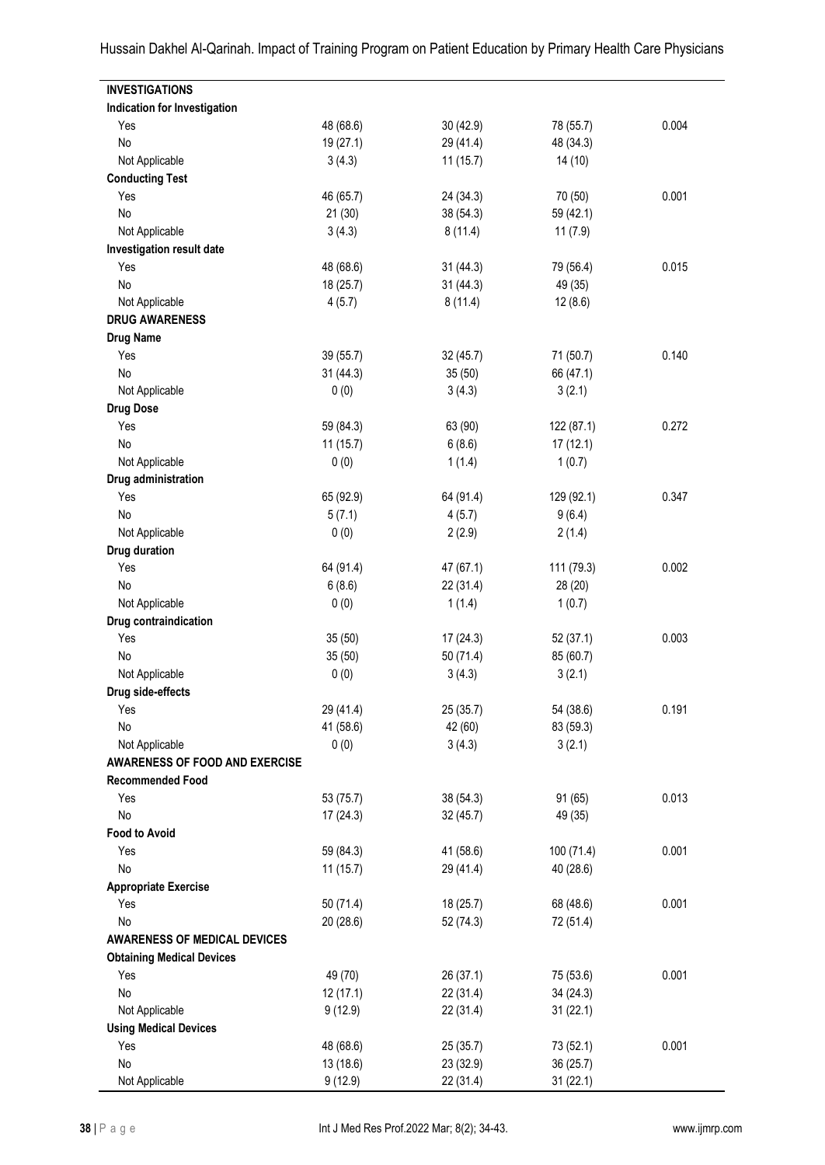**INVESTIGATIONS Indication for Investigation** Yes 48 (68.6) 30 (42.9) 78 (55.7) 0.004 No 19 (27.1) 29 (41.4) 48 (34.3) Not Applicable 3 (4.3) 11 (15.7) 14 (10) **Conducting Test** Yes 46 (65.7) 24 (34.3) 70 (50) 0.001 No 21 (30) 38 (54.3) 59 (42.1) Not Applicable 3 (4.3) 8 (11.4) 11 (7.9) **Investigation result date** Yes 48 (68.6) 31 (44.3) 79 (56.4) 0.015 No 18 (25.7) 31 (44.3) 49 (35) Not Applicable 12 (8.6) 4 (5.7) 8 (11.4) 12 (8.6) **DRUG AWARENESS Drug Name** Yes 39 (55.7) 32 (45.7) 71 (50.7) 0.140 No 31 (44.3) 35 (50) 66 (47.1) Not Applicable  $0 (0)$  3 (4.3) 3 (2.1) **Drug Dose** Yes 59 (84.3) 63 (90) 122 (87.1) 0.272 No 11 (15.7) 6 (8.6) 17 (12.1) Not Applicable 1 (0.7) 1 (0.7) 1 (0.7) **Drug administration** Yes 65 (92.9) 64 (91.4) 129 (92.1) 0.347 No  $5(7.1)$   $4(5.7)$   $9(6.4)$ Not Applicable 2 (2.9) 2 (1.4) **Drug duration** Yes 64 (91.4) 47 (67.1) 111 (79.3) 0.002 No 6 (8.6) 22 (31.4) 28 (20) Not Applicable 1 (1.4) 1 (0.7) **Drug contraindication** Yes 35 (50) 17 (24.3) 52 (37.1) 0.003 No 35 (50) 50 (71.4) 85 (60.7) Not Applicable 0 (0) 3 (4.3) 3 (2.1) **Drug side-effects** Yes 29 (41.4) 25 (35.7) 54 (38.6) 0.191 No 41 (58.6) 42 (60) 83 (59.3) Not Applicable 3 (4.3) 3 (2.1) **AWARENESS OF FOOD AND EXERCISE Recommended Food** Yes 53 (75.7) 38 (54.3) 91 (65) 0.013 No 17 (24.3) 32 (45.7) 49 (35) **Food to Avoid** Yes 59 (84.3) 41 (58.6) 100 (71.4) 0.001 No 11 (15.7) 29 (41.4) 40 (28.6) **Appropriate Exercise** Yes 50 (71.4) 18 (25.7) 68 (48.6) 0.001 No 20 (28.6) 52 (74.3) 72 (51.4) **AWARENESS OF MEDICAL DEVICES Obtaining Medical Devices** Yes 49 (70) 26 (37.1) 75 (53.6) 0.001 No 34 (24.3) 12 (17.1) 22 (31.4) 34 (24.3) Not Applicable 9 (12.9) 22 (31.4) 31 (22.1) **Using Medical Devices** Yes 48 (68.6) 25 (35.7) 73 (52.1) 0.001 No 36 (25.7) 36 (25.7) 36 (25.7) 37 (18.6) 23 (32.9) 36 (25.7)

Hussain Dakhel Al-Qarinah. Impact of Training Program on Patient Education by Primary Health Care Physicians

Not Applicable 9 (12.9) 22 (31.4) 31 (22.1)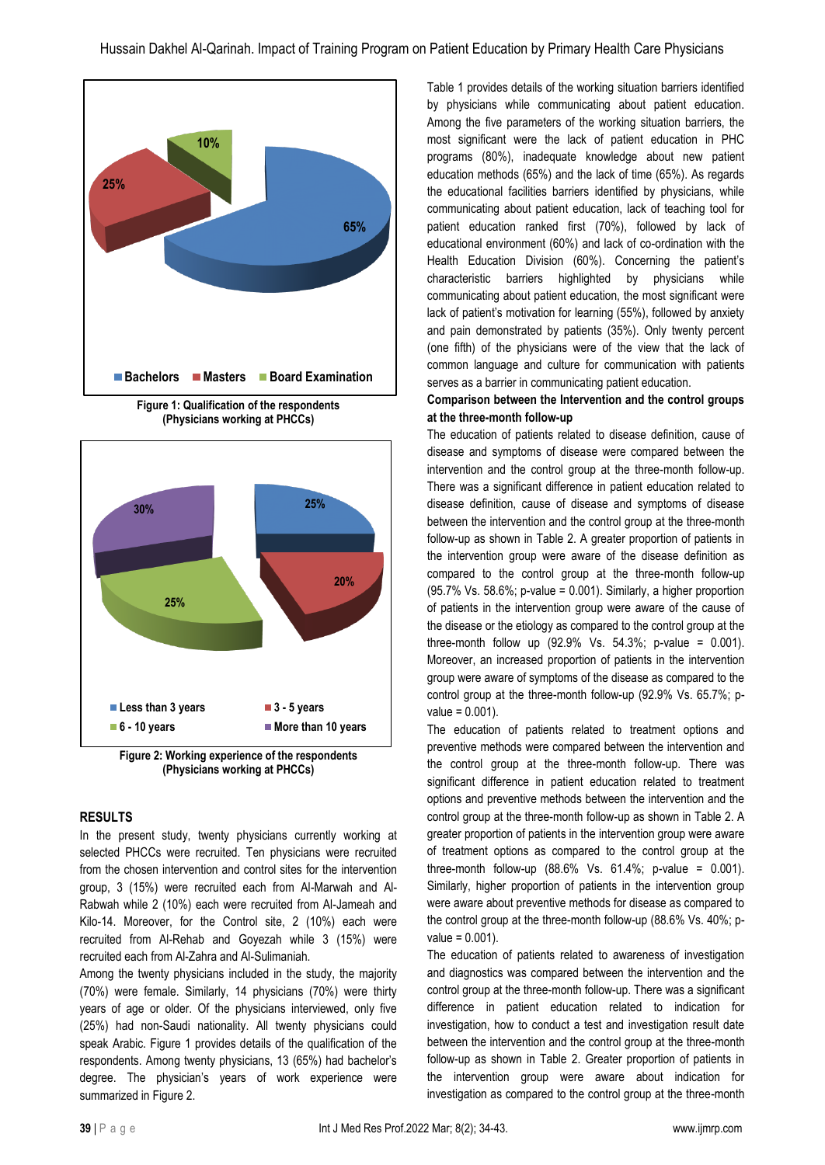

**Figure 1: Qualification of the respondents (Physicians working at PHCCs)**



**Figure 2: Working experience of the respondents (Physicians working at PHCCs)**

### **RESULTS**

In the present study, twenty physicians currently working at selected PHCCs were recruited. Ten physicians were recruited from the chosen intervention and control sites for the intervention group, 3 (15%) were recruited each from Al-Marwah and Al-Rabwah while 2 (10%) each were recruited from Al-Jameah and Kilo-14. Moreover, for the Control site, 2 (10%) each were recruited from Al-Rehab and Goyezah while 3 (15%) were recruited each from Al-Zahra and Al-Sulimaniah.

Among the twenty physicians included in the study, the majority (70%) were female. Similarly, 14 physicians (70%) were thirty years of age or older. Of the physicians interviewed, only five (25%) had non-Saudi nationality. All twenty physicians could speak Arabic. Figure 1 provides details of the qualification of the respondents. Among twenty physicians, 13 (65%) had bachelor's degree. The physician's years of work experience were summarized in Figure 2.

Table 1 provides details of the working situation barriers identified by physicians while communicating about patient education. Among the five parameters of the working situation barriers, the most significant were the lack of patient education in PHC programs (80%), inadequate knowledge about new patient education methods (65%) and the lack of time (65%). As regards the educational facilities barriers identified by physicians, while communicating about patient education, lack of teaching tool for patient education ranked first (70%), followed by lack of educational environment (60%) and lack of co-ordination with the Health Education Division (60%). Concerning the patient's characteristic barriers highlighted by physicians while communicating about patient education, the most significant were lack of patient's motivation for learning (55%), followed by anxiety and pain demonstrated by patients (35%). Only twenty percent (one fifth) of the physicians were of the view that the lack of common language and culture for communication with patients serves as a barrier in communicating patient education.

## **Comparison between the Intervention and the control groups at the three-month follow-up**

The education of patients related to disease definition, cause of disease and symptoms of disease were compared between the intervention and the control group at the three-month follow-up. There was a significant difference in patient education related to disease definition, cause of disease and symptoms of disease between the intervention and the control group at the three-month follow-up as shown in Table 2. A greater proportion of patients in the intervention group were aware of the disease definition as compared to the control group at the three-month follow-up  $(95.7\% \text{ Vs. } 58.6\%;$  p-value = 0.001). Similarly, a higher proportion of patients in the intervention group were aware of the cause of the disease or the etiology as compared to the control group at the three-month follow up  $(92.9\% \text{ Vs. } 54.3\%; \text{ p-value } = 0.001)$ . Moreover, an increased proportion of patients in the intervention group were aware of symptoms of the disease as compared to the control group at the three-month follow-up (92.9% Vs. 65.7%; p $value = 0.001$ ).

The education of patients related to treatment options and preventive methods were compared between the intervention and the control group at the three-month follow-up. There was significant difference in patient education related to treatment options and preventive methods between the intervention and the control group at the three-month follow-up as shown in Table 2. A greater proportion of patients in the intervention group were aware of treatment options as compared to the control group at the three-month follow-up  $(88.6\% \text{ Vs. } 61.4\%; \text{ p-value } = 0.001).$ Similarly, higher proportion of patients in the intervention group were aware about preventive methods for disease as compared to the control group at the three-month follow-up (88.6% Vs. 40%; p $value = 0.001$ ).

The education of patients related to awareness of investigation and diagnostics was compared between the intervention and the control group at the three-month follow-up. There was a significant difference in patient education related to indication for investigation, how to conduct a test and investigation result date between the intervention and the control group at the three-month follow-up as shown in Table 2. Greater proportion of patients in the intervention group were aware about indication for investigation as compared to the control group at the three-month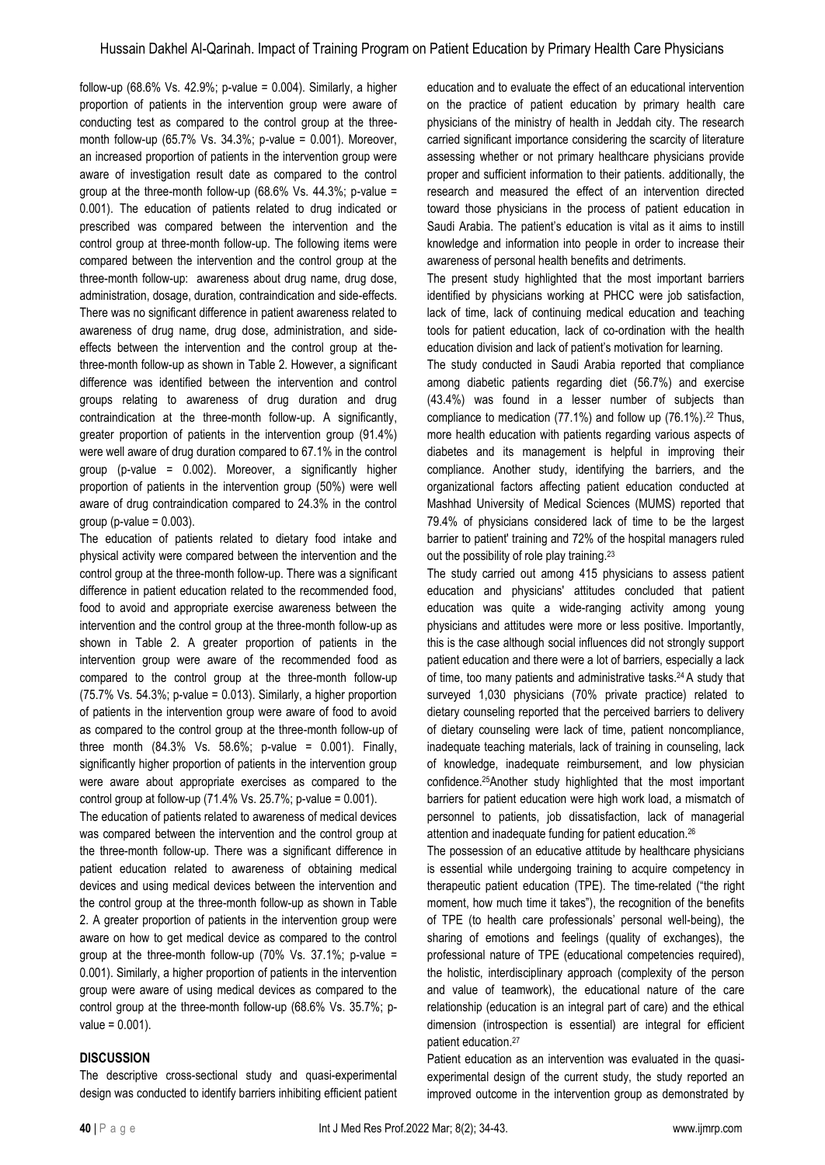follow-up (68.6% Vs. 42.9%; p-value =  $0.004$ ). Similarly, a higher proportion of patients in the intervention group were aware of conducting test as compared to the control group at the threemonth follow-up (65.7% Vs. 34.3%; p-value = 0.001). Moreover, an increased proportion of patients in the intervention group were aware of investigation result date as compared to the control group at the three-month follow-up (68.6% Vs. 44.3%; p-value = 0.001). The education of patients related to drug indicated or prescribed was compared between the intervention and the control group at three-month follow-up. The following items were compared between the intervention and the control group at the three-month follow-up: awareness about drug name, drug dose, administration, dosage, duration, contraindication and side-effects. There was no significant difference in patient awareness related to awareness of drug name, drug dose, administration, and sideeffects between the intervention and the control group at thethree-month follow-up as shown in Table 2. However, a significant difference was identified between the intervention and control groups relating to awareness of drug duration and drug contraindication at the three-month follow-up. A significantly, greater proportion of patients in the intervention group (91.4%) were well aware of drug duration compared to 67.1% in the control group (p-value = 0.002). Moreover, a significantly higher proportion of patients in the intervention group (50%) were well aware of drug contraindication compared to 24.3% in the control  $group (p-value = 0.003)$ .

The education of patients related to dietary food intake and physical activity were compared between the intervention and the control group at the three-month follow-up. There was a significant difference in patient education related to the recommended food, food to avoid and appropriate exercise awareness between the intervention and the control group at the three-month follow-up as shown in Table 2. A greater proportion of patients in the intervention group were aware of the recommended food as compared to the control group at the three-month follow-up (75.7% Vs. 54.3%; p-value = 0.013). Similarly, a higher proportion of patients in the intervention group were aware of food to avoid as compared to the control group at the three-month follow-up of three month  $(84.3\% \text{ Vs. } 58.6\%; \text{ p-value } = 0.001).$  Finally, significantly higher proportion of patients in the intervention group were aware about appropriate exercises as compared to the control group at follow-up  $(71.4\% \text{ Vs. } 25.7\%; \text{ p-value} = 0.001).$ 

The education of patients related to awareness of medical devices was compared between the intervention and the control group at the three-month follow-up. There was a significant difference in patient education related to awareness of obtaining medical devices and using medical devices between the intervention and the control group at the three-month follow-up as shown in Table 2. A greater proportion of patients in the intervention group were aware on how to get medical device as compared to the control group at the three-month follow-up (70% Vs. 37.1%; p-value = 0.001). Similarly, a higher proportion of patients in the intervention group were aware of using medical devices as compared to the control group at the three-month follow-up (68.6% Vs. 35.7%; p $value = 0.001$ ).

### **DISCUSSION**

The descriptive cross-sectional study and quasi-experimental design was conducted to identify barriers inhibiting efficient patient education and to evaluate the effect of an educational intervention on the practice of patient education by primary health care physicians of the ministry of health in Jeddah city. The research carried significant importance considering the scarcity of literature assessing whether or not primary healthcare physicians provide proper and sufficient information to their patients. additionally, the research and measured the effect of an intervention directed toward those physicians in the process of patient education in Saudi Arabia. The patient's education is vital as it aims to instill knowledge and information into people in order to increase their awareness of personal health benefits and detriments.

The present study highlighted that the most important barriers identified by physicians working at PHCC were job satisfaction, lack of time, lack of continuing medical education and teaching tools for patient education, lack of co-ordination with the health education division and lack of patient's motivation for learning.

The study conducted in Saudi Arabia reported that compliance among diabetic patients regarding diet (56.7%) and exercise (43.4%) was found in a lesser number of subjects than compliance to medication  $(77.1\%)$  and follow up  $(76.1\%)$ .<sup>22</sup> Thus, more health education with patients regarding various aspects of diabetes and its management is helpful in improving their compliance. Another study, identifying the barriers, and the organizational factors affecting patient education conducted at Mashhad University of Medical Sciences (MUMS) reported that 79.4% of physicians considered lack of time to be the largest barrier to patient' training and 72% of the hospital managers ruled out the possibility of role play training.<sup>23</sup>

The study carried out among 415 physicians to assess patient education and physicians' attitudes concluded that patient education was quite a wide-ranging activity among young physicians and attitudes were more or less positive. Importantly, this is the case although social influences did not strongly support patient education and there were a lot of barriers, especially a lack of time, too many patients and administrative tasks.24 A study that surveyed 1,030 physicians (70% private practice) related to dietary counseling reported that the perceived barriers to delivery of dietary counseling were lack of time, patient noncompliance, inadequate teaching materials, lack of training in counseling, lack of knowledge, inadequate reimbursement, and low physician confidence.25Another study highlighted that the most important barriers for patient education were high work load, a mismatch of personnel to patients, job dissatisfaction, lack of managerial attention and inadequate funding for patient education.<sup>26</sup>

The possession of an educative attitude by healthcare physicians is essential while undergoing training to acquire competency in therapeutic patient education (TPE). The time-related ("the right moment, how much time it takes"), the recognition of the benefits of TPE (to health care professionals' personal well-being), the sharing of emotions and feelings (quality of exchanges), the professional nature of TPE (educational competencies required), the holistic, interdisciplinary approach (complexity of the person and value of teamwork), the educational nature of the care relationship (education is an integral part of care) and the ethical dimension (introspection is essential) are integral for efficient patient education.<sup>27</sup>

Patient education as an intervention was evaluated in the quasiexperimental design of the current study, the study reported an improved outcome in the intervention group as demonstrated by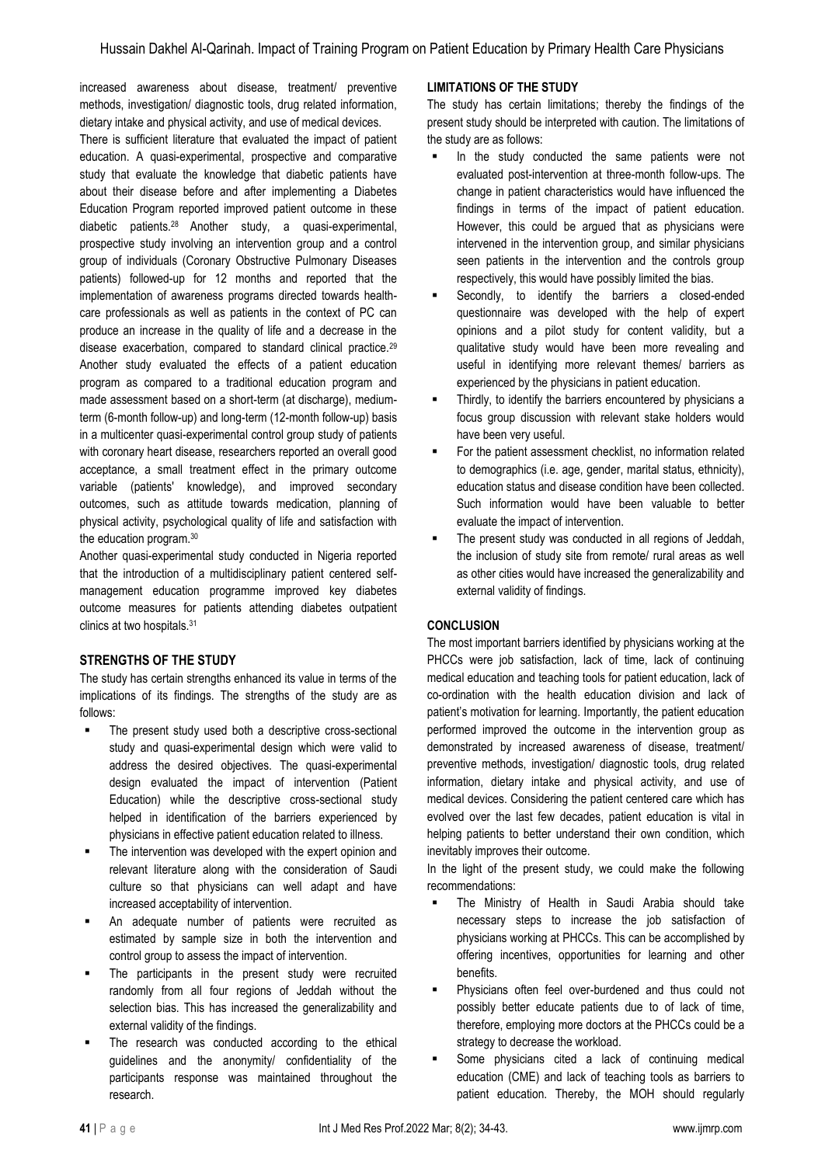increased awareness about disease, treatment/ preventive methods, investigation/ diagnostic tools, drug related information, dietary intake and physical activity, and use of medical devices.

There is sufficient literature that evaluated the impact of patient education. A quasi-experimental, prospective and comparative study that evaluate the knowledge that diabetic patients have about their disease before and after implementing a Diabetes Education Program reported improved patient outcome in these diabetic patients.<sup>28</sup> Another study, a quasi-experimental, prospective study involving an intervention group and a control group of individuals (Coronary Obstructive Pulmonary Diseases patients) followed-up for 12 months and reported that the implementation of awareness programs directed towards healthcare professionals as well as patients in the context of PC can produce an increase in the quality of life and a decrease in the disease exacerbation, compared to standard clinical practice.<sup>29</sup> Another study evaluated the effects of a patient education program as compared to a traditional education program and made assessment based on a short-term (at discharge), mediumterm (6-month follow-up) and long-term (12-month follow-up) basis in a multicenter quasi-experimental control group study of patients with coronary heart disease, researchers reported an overall good acceptance, a small treatment effect in the primary outcome variable (patients' knowledge), and improved secondary outcomes, such as attitude towards medication, planning of physical activity, psychological quality of life and satisfaction with the education program.<sup>30</sup>

Another quasi-experimental study conducted in Nigeria reported that the introduction of a multidisciplinary patient centered selfmanagement education programme improved key diabetes outcome measures for patients attending diabetes outpatient clinics at two hospitals.<sup>31</sup>

# **STRENGTHS OF THE STUDY**

The study has certain strengths enhanced its value in terms of the implications of its findings. The strengths of the study are as follows:

- The present study used both a descriptive cross-sectional study and quasi-experimental design which were valid to address the desired objectives. The quasi-experimental design evaluated the impact of intervention (Patient Education) while the descriptive cross-sectional study helped in identification of the barriers experienced by physicians in effective patient education related to illness.
- The intervention was developed with the expert opinion and relevant literature along with the consideration of Saudi culture so that physicians can well adapt and have increased acceptability of intervention.
- An adequate number of patients were recruited as estimated by sample size in both the intervention and control group to assess the impact of intervention.
- The participants in the present study were recruited randomly from all four regions of Jeddah without the selection bias. This has increased the generalizability and external validity of the findings.
- The research was conducted according to the ethical guidelines and the anonymity/ confidentiality of the participants response was maintained throughout the research.

## **LIMITATIONS OF THE STUDY**

The study has certain limitations; thereby the findings of the present study should be interpreted with caution. The limitations of the study are as follows:

- In the study conducted the same patients were not evaluated post-intervention at three-month follow-ups. The change in patient characteristics would have influenced the findings in terms of the impact of patient education. However, this could be argued that as physicians were intervened in the intervention group, and similar physicians seen patients in the intervention and the controls group respectively, this would have possibly limited the bias.
- Secondly, to identify the barriers a closed-ended questionnaire was developed with the help of expert opinions and a pilot study for content validity, but a qualitative study would have been more revealing and useful in identifying more relevant themes/ barriers as experienced by the physicians in patient education.
- Thirdly, to identify the barriers encountered by physicians a focus group discussion with relevant stake holders would have been very useful.
- For the patient assessment checklist, no information related to demographics (i.e. age, gender, marital status, ethnicity), education status and disease condition have been collected. Such information would have been valuable to better evaluate the impact of intervention.
- The present study was conducted in all regions of Jeddah, the inclusion of study site from remote/ rural areas as well as other cities would have increased the generalizability and external validity of findings.

# **CONCLUSION**

The most important barriers identified by physicians working at the PHCCs were job satisfaction, lack of time, lack of continuing medical education and teaching tools for patient education, lack of co-ordination with the health education division and lack of patient's motivation for learning. Importantly, the patient education performed improved the outcome in the intervention group as demonstrated by increased awareness of disease, treatment/ preventive methods, investigation/ diagnostic tools, drug related information, dietary intake and physical activity, and use of medical devices. Considering the patient centered care which has evolved over the last few decades, patient education is vital in helping patients to better understand their own condition, which inevitably improves their outcome.

In the light of the present study, we could make the following recommendations:

- The Ministry of Health in Saudi Arabia should take necessary steps to increase the job satisfaction of physicians working at PHCCs. This can be accomplished by offering incentives, opportunities for learning and other benefits.
- Physicians often feel over-burdened and thus could not possibly better educate patients due to of lack of time, therefore, employing more doctors at the PHCCs could be a strategy to decrease the workload.
- **EXECUTE:** Some physicians cited a lack of continuing medical education (CME) and lack of teaching tools as barriers to patient education. Thereby, the MOH should regularly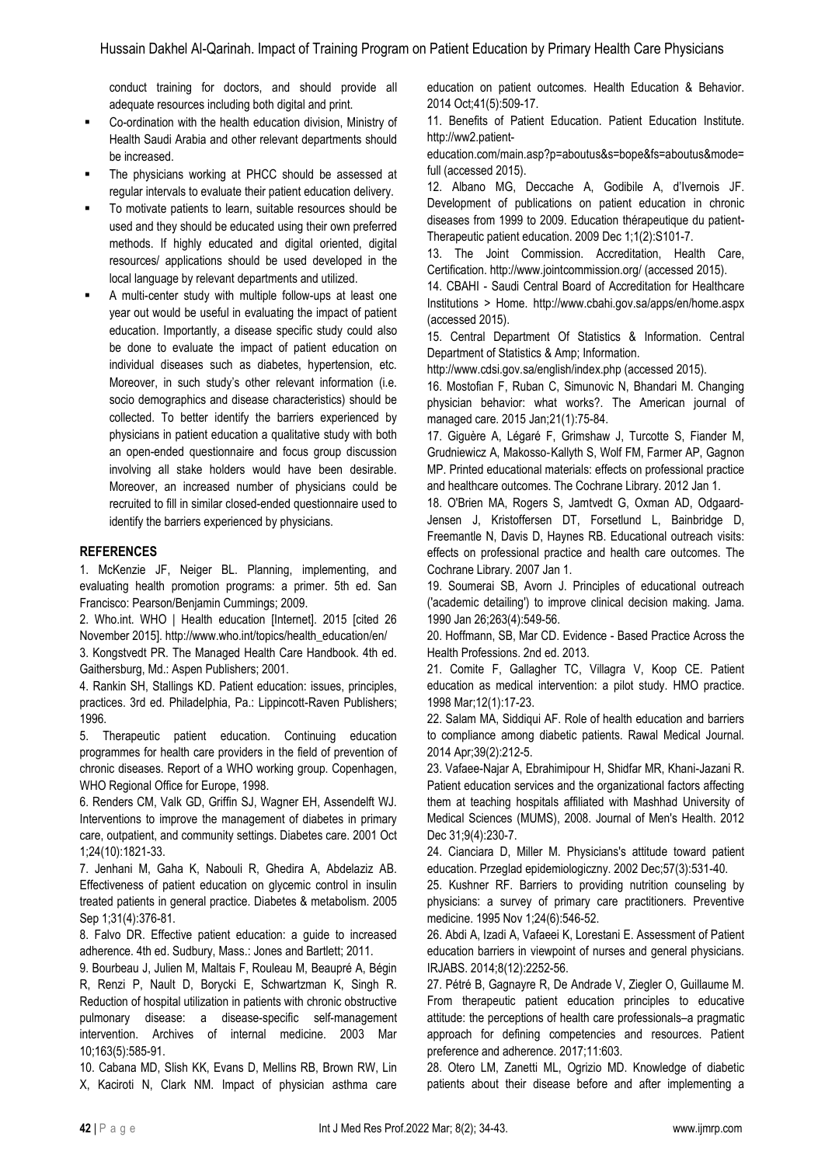conduct training for doctors, and should provide all adequate resources including both digital and print.

- Co-ordination with the health education division, Ministry of Health Saudi Arabia and other relevant departments should be increased.
- The physicians working at PHCC should be assessed at regular intervals to evaluate their patient education delivery.
- To motivate patients to learn, suitable resources should be used and they should be educated using their own preferred methods. If highly educated and digital oriented, digital resources/ applications should be used developed in the local language by relevant departments and utilized.
- A multi-center study with multiple follow-ups at least one year out would be useful in evaluating the impact of patient education. Importantly, a disease specific study could also be done to evaluate the impact of patient education on individual diseases such as diabetes, hypertension, etc. Moreover, in such study's other relevant information (i.e. socio demographics and disease characteristics) should be collected. To better identify the barriers experienced by physicians in patient education a qualitative study with both an open-ended questionnaire and focus group discussion involving all stake holders would have been desirable. Moreover, an increased number of physicians could be recruited to fill in similar closed-ended questionnaire used to identify the barriers experienced by physicians.

## **REFERENCES**

1. McKenzie JF, Neiger BL. Planning, implementing, and evaluating health promotion programs: a primer. 5th ed. San Francisco: Pearson/Benjamin Cummings; 2009.

2. Who.int. WHO | Health education [Internet]. 2015 [cited 26 November 2015]. http://www.who.int/topics/health\_education/en/

3. Kongstvedt PR. The Managed Health Care Handbook. 4th ed. Gaithersburg, Md.: Aspen Publishers; 2001.

4. Rankin SH, Stallings KD. Patient education: issues, principles, practices. 3rd ed. Philadelphia, Pa.: Lippincott-Raven Publishers; 1996.

5. Therapeutic patient education. Continuing education programmes for health care providers in the field of prevention of chronic diseases. Report of a WHO working group. Copenhagen, WHO Regional Office for Europe, 1998.

6. Renders CM, Valk GD, Griffin SJ, Wagner EH, Assendelft WJ. Interventions to improve the management of diabetes in primary care, outpatient, and community settings. Diabetes care. 2001 Oct 1;24(10):1821-33.

7. Jenhani M, Gaha K, Nabouli R, Ghedira A, Abdelaziz AB. Effectiveness of patient education on glycemic control in insulin treated patients in general practice. Diabetes & metabolism. 2005 Sep 1;31(4):376-81.

8. Falvo DR. Effective patient education: a guide to increased adherence. 4th ed. Sudbury, Mass.: Jones and Bartlett; 2011.

9. Bourbeau J, Julien M, Maltais F, Rouleau M, Beaupré A, Bégin R, Renzi P, Nault D, Borycki E, Schwartzman K, Singh R. Reduction of hospital utilization in patients with chronic obstructive pulmonary disease: a disease-specific self-management intervention. Archives of internal medicine. 2003 Mar 10;163(5):585-91.

10. Cabana MD, Slish KK, Evans D, Mellins RB, Brown RW, Lin X, Kaciroti N, Clark NM. Impact of physician asthma care education on patient outcomes. Health Education & Behavior. 2014 Oct;41(5):509-17.

11. Benefits of Patient Education. Patient Education Institute. http://ww2.patient-

education.com/main.asp?p=aboutus&s=bope&fs=aboutus&mode= full (accessed 2015).

12. Albano MG, Deccache A, Godibile A, d'Ivernois JF. Development of publications on patient education in chronic diseases from 1999 to 2009. Education thérapeutique du patient-Therapeutic patient education. 2009 Dec 1;1(2):S101-7.

13. The Joint Commission. Accreditation, Health Care, Certification. http://www.jointcommission.org/ (accessed 2015).

14. CBAHI - Saudi Central Board of Accreditation for Healthcare Institutions > Home. http://www.cbahi.gov.sa/apps/en/home.aspx (accessed 2015).

15. Central Department Of Statistics & Information. Central Department of Statistics & Amp; Information.

http://www.cdsi.gov.sa/english/index.php (accessed 2015).

16. Mostofian F, Ruban C, Simunovic N, Bhandari M. Changing physician behavior: what works?. The American journal of managed care. 2015 Jan;21(1):75-84.

17. Giguère A, Légaré F, Grimshaw J, Turcotte S, Fiander M, Grudniewicz A, Makosso‐Kallyth S, Wolf FM, Farmer AP, Gagnon MP. Printed educational materials: effects on professional practice and healthcare outcomes. The Cochrane Library. 2012 Jan 1.

18. O'Brien MA, Rogers S, Jamtvedt G, Oxman AD, Odgaard‐ Jensen J, Kristoffersen DT, Forsetlund L, Bainbridge D, Freemantle N, Davis D, Haynes RB. Educational outreach visits: effects on professional practice and health care outcomes. The Cochrane Library. 2007 Jan 1.

19. Soumerai SB, Avorn J. Principles of educational outreach ('academic detailing') to improve clinical decision making. Jama. 1990 Jan 26;263(4):549-56.

20. Hoffmann, SB, Mar CD. Evidence - Based Practice Across the Health Professions. 2nd ed. 2013.

21. Comite F, Gallagher TC, Villagra V, Koop CE. Patient education as medical intervention: a pilot study. HMO practice. 1998 Mar;12(1):17-23.

22. Salam MA, Siddiqui AF. Role of health education and barriers to compliance among diabetic patients. Rawal Medical Journal. 2014 Apr;39(2):212-5.

23. Vafaee-Najar A, Ebrahimipour H, Shidfar MR, Khani-Jazani R. Patient education services and the organizational factors affecting them at teaching hospitals affiliated with Mashhad University of Medical Sciences (MUMS), 2008. Journal of Men's Health. 2012 Dec 31;9(4):230-7.

24. Cianciara D, Miller M. Physicians's attitude toward patient education. Przeglad epidemiologiczny. 2002 Dec;57(3):531-40.

25. Kushner RF. Barriers to providing nutrition counseling by physicians: a survey of primary care practitioners. Preventive medicine. 1995 Nov 1;24(6):546-52.

26. Abdi A, Izadi A, Vafaeei K, Lorestani E. Assessment of Patient education barriers in viewpoint of nurses and general physicians. IRJABS. 2014;8(12):2252-56.

27. Pétré B, Gagnayre R, De Andrade V, Ziegler O, Guillaume M. From therapeutic patient education principles to educative attitude: the perceptions of health care professionals–a pragmatic approach for defining competencies and resources. Patient preference and adherence. 2017;11:603.

28. Otero LM, Zanetti ML, Ogrizio MD. Knowledge of diabetic patients about their disease before and after implementing a